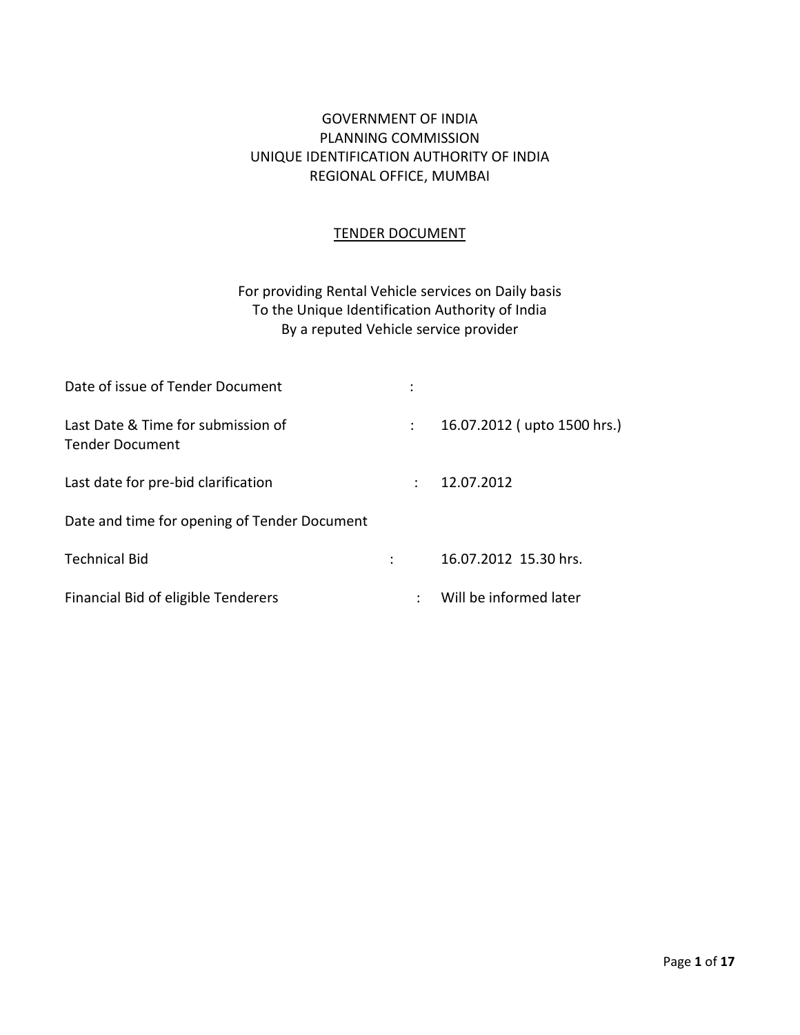# GOVERNMENT OF INDIA PLANNING COMMISSION UNIQUE IDENTIFICATION AUTHORITY OF INDIA REGIONAL OFFICE, MUMBAI

### TENDER DOCUMENT

# For providing Rental Vehicle services on Daily basis To the Unique Identification Authority of India By a reputed Vehicle service provider

| Date of issue of Tender Document                      |   |   |                             |
|-------------------------------------------------------|---|---|-----------------------------|
| Last Date & Time for submission of<br>Tender Document |   | ÷ | 16.07.2012 (upto 1500 hrs.) |
| Last date for pre-bid clarification                   |   |   | 12.07.2012                  |
| Date and time for opening of Tender Document          |   |   |                             |
| <b>Technical Bid</b>                                  | ÷ |   | 16.07.2012 15.30 hrs.       |
| Financial Bid of eligible Tenderers                   |   |   | Will be informed later      |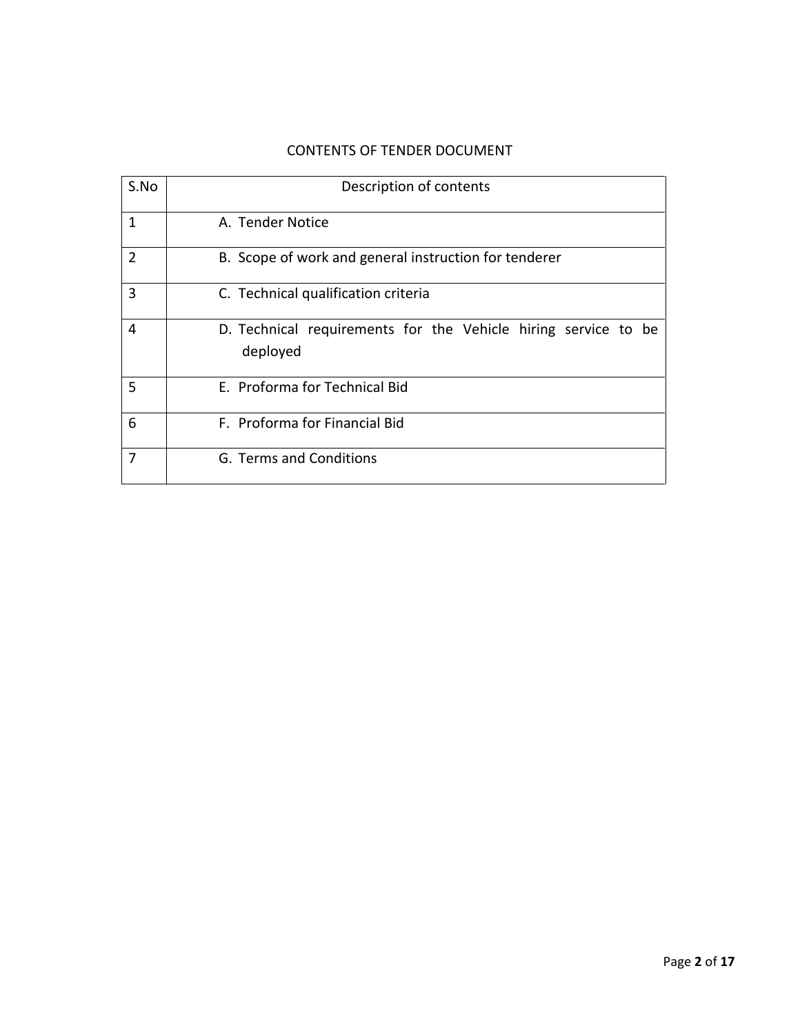### CONTENTS OF TENDER DOCUMENT

| S.No           | Description of contents                                                    |  |  |  |  |  |  |
|----------------|----------------------------------------------------------------------------|--|--|--|--|--|--|
| 1              | A. Tender Notice                                                           |  |  |  |  |  |  |
| $\overline{2}$ | B. Scope of work and general instruction for tenderer                      |  |  |  |  |  |  |
| 3              | C. Technical qualification criteria                                        |  |  |  |  |  |  |
| 4              | D. Technical requirements for the Vehicle hiring service to be<br>deployed |  |  |  |  |  |  |
| 5              | E. Proforma for Technical Bid                                              |  |  |  |  |  |  |
| 6              | F. Proforma for Financial Bid                                              |  |  |  |  |  |  |
| 7              | G. Terms and Conditions                                                    |  |  |  |  |  |  |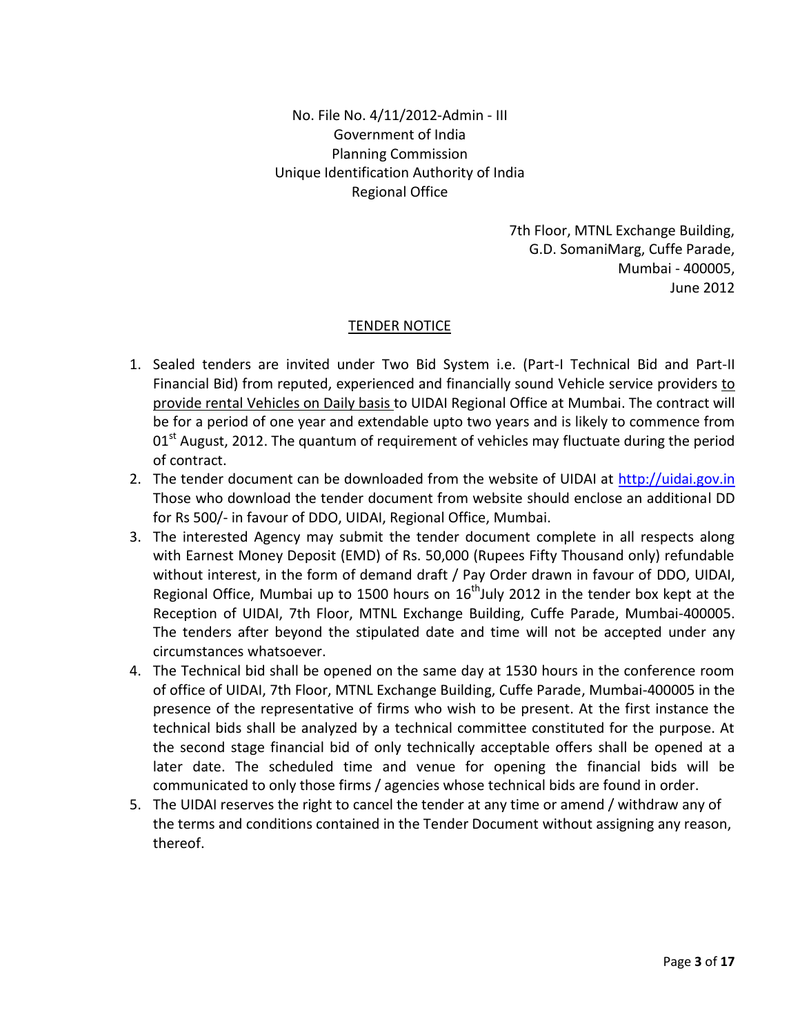No. File No. 4/11/2012-Admin - III Government of India Planning Commission Unique Identification Authority of India Regional Office

> 7th Floor, MTNL Exchange Building, G.D. SomaniMarg, Cuffe Parade, Mumbai - 400005, June 2012

### TENDER NOTICE

- 1. Sealed tenders are invited under Two Bid System i.e. (Part-I Technical Bid and Part-II Financial Bid) from reputed, experienced and financially sound Vehicle service providers to provide rental Vehicles on Daily basis to UIDAI Regional Office at Mumbai. The contract will be for a period of one year and extendable upto two years and is likely to commence from 01<sup>st</sup> August, 2012. The quantum of requirement of vehicles may fluctuate during the period of contract.
- 2. The tender document can be downloaded from the website of UIDAI at [http://uidai.gov.in](http://uidai.gov.in/) Those who download the tender document from website should enclose an additional DD for Rs 500/- in favour of DDO, UIDAI, Regional Office, Mumbai.
- 3. The interested Agency may submit the tender document complete in all respects along with Earnest Money Deposit (EMD) of Rs. 50,000 (Rupees Fifty Thousand only) refundable without interest, in the form of demand draft / Pay Order drawn in favour of DDO, UIDAI, Regional Office, Mumbai up to 1500 hours on  $16<sup>th</sup>$ July 2012 in the tender box kept at the Reception of UIDAI, 7th Floor, MTNL Exchange Building, Cuffe Parade, Mumbai-400005. The tenders after beyond the stipulated date and time will not be accepted under any circumstances whatsoever.
- 4. The Technical bid shall be opened on the same day at 1530 hours in the conference room of office of UIDAI, 7th Floor, MTNL Exchange Building, Cuffe Parade, Mumbai-400005 in the presence of the representative of firms who wish to be present. At the first instance the technical bids shall be analyzed by a technical committee constituted for the purpose. At the second stage financial bid of only technically acceptable offers shall be opened at a later date. The scheduled time and venue for opening the financial bids will be communicated to only those firms / agencies whose technical bids are found in order.
- 5. The UIDAI reserves the right to cancel the tender at any time or amend / withdraw any of the terms and conditions contained in the Tender Document without assigning any reason, thereof.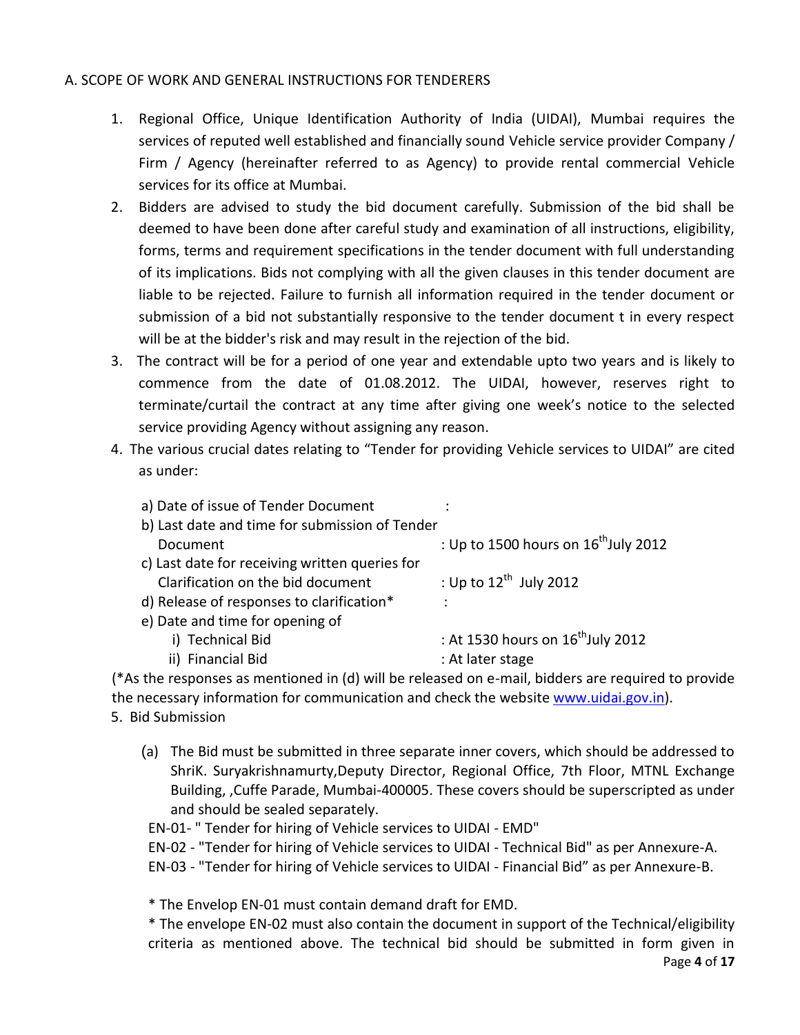### A. SCOPE OF WORK AND GENERAL INSTRUCTIONS FOR TENDERERS

- 1. Regional Office, Unique Identification Authority of India (UIDAI), Mumbai requires the services of reputed well established and financially sound Vehicle service provider Company / Firm / Agency (hereinafter referred to as Agency) to provide rental commercial Vehicle services for its office at Mumbai.
- 2. Bidders are advised to study the bid document carefully. Submission of the bid shall be deemed to have been done after careful study and examination of all instructions, eligibility, forms, terms and requirement specifications in the tender document with full understanding of its implications. Bids not complying with all the given clauses in this tender document are liable to be rejected. Failure to furnish all information required in the tender document or submission of a bid not substantially responsive to the tender document t in every respect will be at the bidder's risk and may result in the rejection of the bid.
- 3. The contract will be for a period of one year and extendable upto two years and is likely to commence from the date of 01.08.2012. The UIDAI, however, reserves right to terminate/curtail the contract at any time after giving one week's notice to the selected service providing Agency without assigning any reason.
- 4. The various crucial dates relating to "Tender for providing Vehicle services to UIDAI" are cited as under:

| b) Last date and time for submission of Tender   |
|--------------------------------------------------|
| : Up to 1500 hours on $16^{\text{th}}$ July 2012 |
|                                                  |
| : Up to $12^{\text{th}}$ July 2012               |
|                                                  |
|                                                  |
| : At 1530 hours on $16^{\text{th}}$ July 2012    |
| : At later stage                                 |
|                                                  |

(\*As the responses as mentioned in (d) will be released on e-mail, bidders are required to provide the necessary information for communication and check the website [www.uidai.gov.in\)](http://www.uidai.gov.in/). 5. Bid Submission

(a) The Bid must be submitted in three separate inner covers, which should be addressed to ShriK. Suryakrishnamurty,Deputy Director, Regional Office, 7th Floor, MTNL Exchange Building, ,Cuffe Parade, Mumbai-400005. These covers should be superscripted as under and should be sealed separately.

EN-01- " Tender for hiring of Vehicle services to UIDAI - EMD"

EN-02 - "Tender for hiring of Vehicle services to UIDAI - Technical Bid" as per Annexure-A. EN-03 - "Tender for hiring of Vehicle services to UIDAI - Financial Bid" as per Annexure-B.

\* The Envelop EN-01 must contain demand draft for EMD.

\* The envelope EN-02 must also contain the document in support of the Technical/eligibility criteria as mentioned above. The technical bid should be submitted in form given in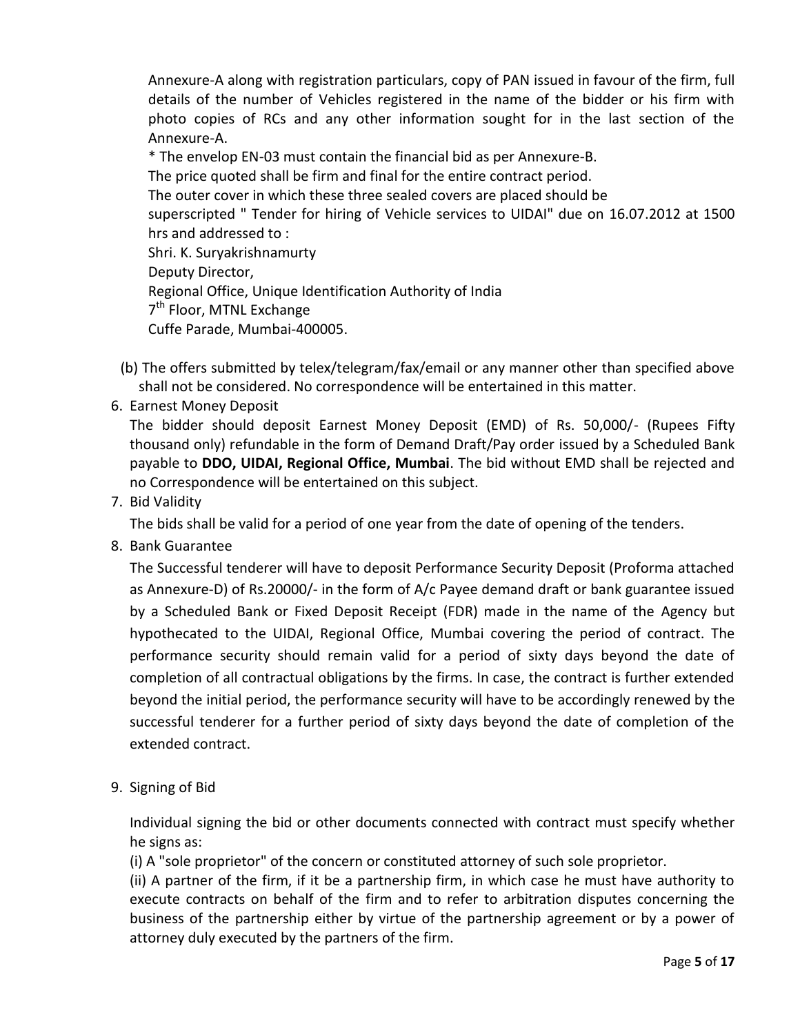Annexure-A along with registration particulars, copy of PAN issued in favour of the firm, full details of the number of Vehicles registered in the name of the bidder or his firm with photo copies of RCs and any other information sought for in the last section of the Annexure-A.

\* The envelop EN-03 must contain the financial bid as per Annexure-B.

The price quoted shall be firm and final for the entire contract period.

The outer cover in which these three sealed covers are placed should be

superscripted " Tender for hiring of Vehicle services to UIDAI" due on 16.07.2012 at 1500 hrs and addressed to :

Shri. K. Suryakrishnamurty

Deputy Director,

Regional Office, Unique Identification Authority of India

7<sup>th</sup> Floor, MTNL Exchange

Cuffe Parade, Mumbai-400005.

- (b) The offers submitted by telex/telegram/fax/email or any manner other than specified above shall not be considered. No correspondence will be entertained in this matter.
- 6. Earnest Money Deposit

The bidder should deposit Earnest Money Deposit (EMD) of Rs. 50,000/- (Rupees Fifty thousand only) refundable in the form of Demand Draft/Pay order issued by a Scheduled Bank payable to **DDO, UIDAI, Regional Office, Mumbai**. The bid without EMD shall be rejected and no Correspondence will be entertained on this subject.

# 7. Bid Validity

The bids shall be valid for a period of one year from the date of opening of the tenders.

8. Bank Guarantee

The Successful tenderer will have to deposit Performance Security Deposit (Proforma attached as Annexure-D) of Rs.20000/- in the form of A/c Payee demand draft or bank guarantee issued by a Scheduled Bank or Fixed Deposit Receipt (FDR) made in the name of the Agency but hypothecated to the UIDAI, Regional Office, Mumbai covering the period of contract. The performance security should remain valid for a period of sixty days beyond the date of completion of all contractual obligations by the firms. In case, the contract is further extended beyond the initial period, the performance security will have to be accordingly renewed by the successful tenderer for a further period of sixty days beyond the date of completion of the extended contract.

9. Signing of Bid

Individual signing the bid or other documents connected with contract must specify whether he signs as:

(i) A "sole proprietor" of the concern or constituted attorney of such sole proprietor.

(ii) A partner of the firm, if it be a partnership firm, in which case he must have authority to execute contracts on behalf of the firm and to refer to arbitration disputes concerning the business of the partnership either by virtue of the partnership agreement or by a power of attorney duly executed by the partners of the firm.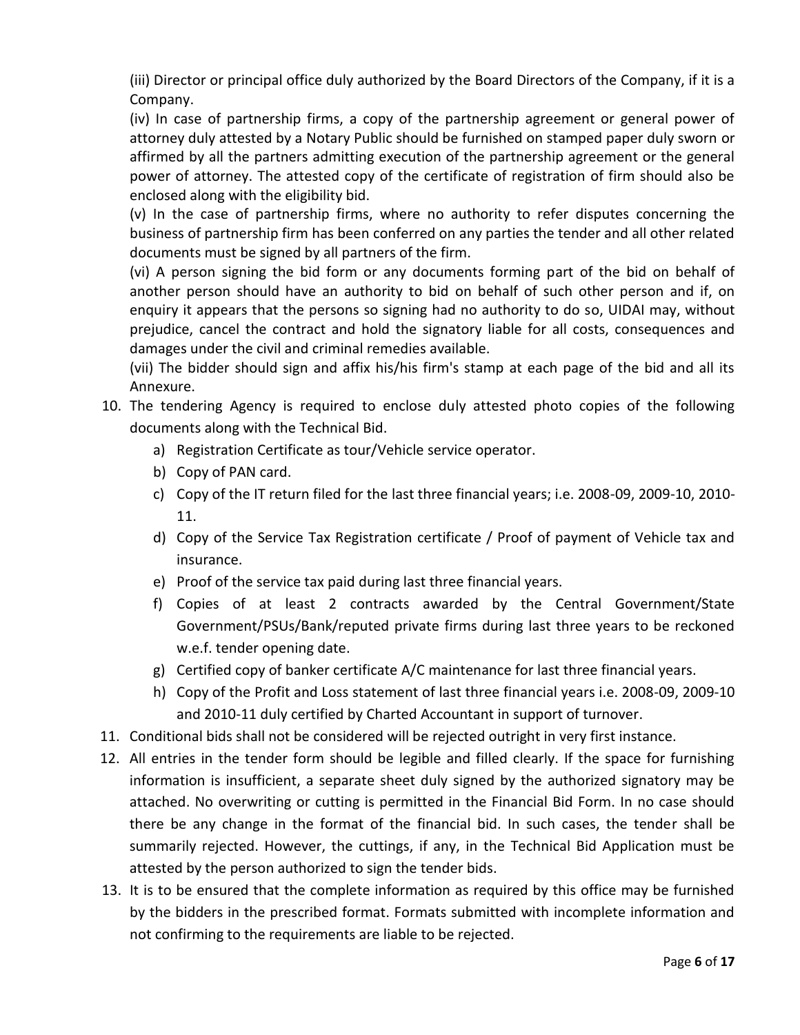(iii) Director or principal office duly authorized by the Board Directors of the Company, if it is a Company.

(iv) In case of partnership firms, a copy of the partnership agreement or general power of attorney duly attested by a Notary Public should be furnished on stamped paper duly sworn or affirmed by all the partners admitting execution of the partnership agreement or the general power of attorney. The attested copy of the certificate of registration of firm should also be enclosed along with the eligibility bid.

(v) In the case of partnership firms, where no authority to refer disputes concerning the business of partnership firm has been conferred on any parties the tender and all other related documents must be signed by all partners of the firm.

(vi) A person signing the bid form or any documents forming part of the bid on behalf of another person should have an authority to bid on behalf of such other person and if, on enquiry it appears that the persons so signing had no authority to do so, UIDAI may, without prejudice, cancel the contract and hold the signatory liable for all costs, consequences and damages under the civil and criminal remedies available.

(vii) The bidder should sign and affix his/his firm's stamp at each page of the bid and all its Annexure.

# 10. The tendering Agency is required to enclose duly attested photo copies of the following documents along with the Technical Bid.

- a) Registration Certificate as tour/Vehicle service operator.
- b) Copy of PAN card.
- c) Copy of the IT return filed for the last three financial years; i.e. 2008-09, 2009-10, 2010- 11.
- d) Copy of the Service Tax Registration certificate / Proof of payment of Vehicle tax and insurance.
- e) Proof of the service tax paid during last three financial years.
- f) Copies of at least 2 contracts awarded by the Central Government/State Government/PSUs/Bank/reputed private firms during last three years to be reckoned w.e.f. tender opening date.
- g) Certified copy of banker certificate A/C maintenance for last three financial years.
- h) Copy of the Profit and Loss statement of last three financial years i.e. 2008-09, 2009-10 and 2010-11 duly certified by Charted Accountant in support of turnover.
- 11. Conditional bids shall not be considered will be rejected outright in very first instance.
- 12. All entries in the tender form should be legible and filled clearly. If the space for furnishing information is insufficient, a separate sheet duly signed by the authorized signatory may be attached. No overwriting or cutting is permitted in the Financial Bid Form. In no case should there be any change in the format of the financial bid. In such cases, the tender shall be summarily rejected. However, the cuttings, if any, in the Technical Bid Application must be attested by the person authorized to sign the tender bids.
- 13. It is to be ensured that the complete information as required by this office may be furnished by the bidders in the prescribed format. Formats submitted with incomplete information and not confirming to the requirements are liable to be rejected.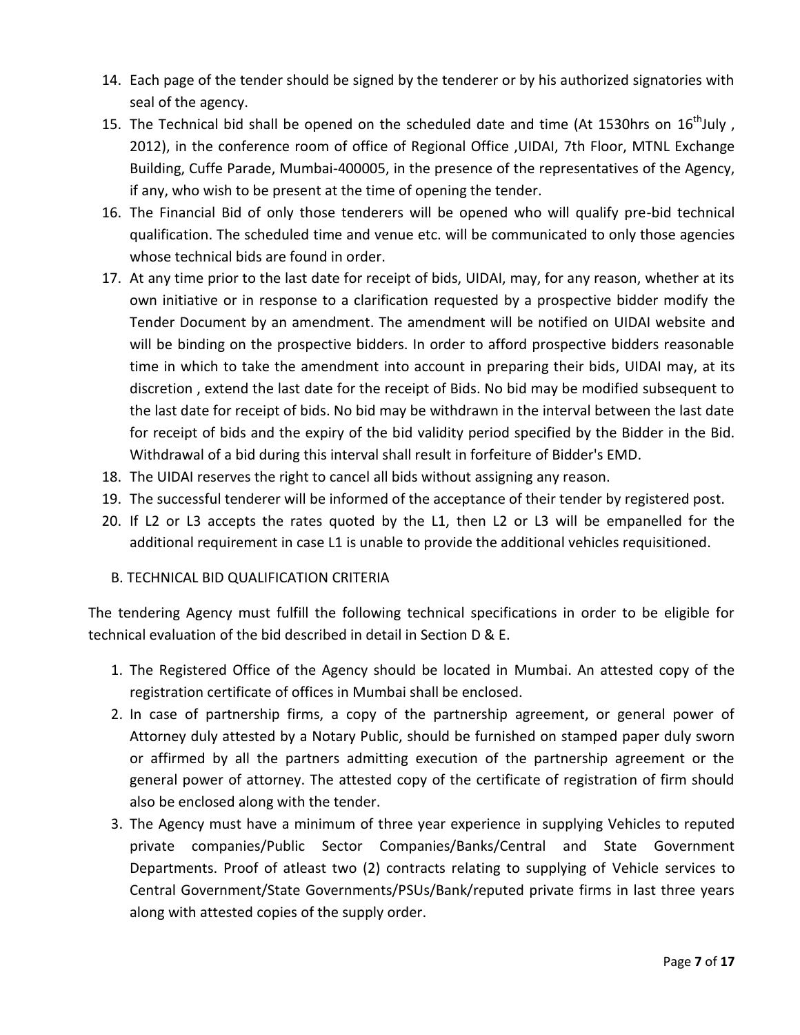- 14. Each page of the tender should be signed by the tenderer or by his authorized signatories with seal of the agency.
- 15. The Technical bid shall be opened on the scheduled date and time (At 1530hrs on  $16^{th}$ July, 2012), in the conference room of office of Regional Office ,UIDAI, 7th Floor, MTNL Exchange Building, Cuffe Parade, Mumbai-400005, in the presence of the representatives of the Agency, if any, who wish to be present at the time of opening the tender.
- 16. The Financial Bid of only those tenderers will be opened who will qualify pre-bid technical qualification. The scheduled time and venue etc. will be communicated to only those agencies whose technical bids are found in order.
- 17. At any time prior to the last date for receipt of bids, UIDAI, may, for any reason, whether at its own initiative or in response to a clarification requested by a prospective bidder modify the Tender Document by an amendment. The amendment will be notified on UIDAI website and will be binding on the prospective bidders. In order to afford prospective bidders reasonable time in which to take the amendment into account in preparing their bids, UIDAI may, at its discretion , extend the last date for the receipt of Bids. No bid may be modified subsequent to the last date for receipt of bids. No bid may be withdrawn in the interval between the last date for receipt of bids and the expiry of the bid validity period specified by the Bidder in the Bid. Withdrawal of a bid during this interval shall result in forfeiture of Bidder's EMD.
- 18. The UIDAI reserves the right to cancel all bids without assigning any reason.
- 19. The successful tenderer will be informed of the acceptance of their tender by registered post.
- 20. If L2 or L3 accepts the rates quoted by the L1, then L2 or L3 will be empanelled for the additional requirement in case L1 is unable to provide the additional vehicles requisitioned.

### B. TECHNICAL BID QUALIFICATION CRITERIA

The tendering Agency must fulfill the following technical specifications in order to be eligible for technical evaluation of the bid described in detail in Section D & E.

- 1. The Registered Office of the Agency should be located in Mumbai. An attested copy of the registration certificate of offices in Mumbai shall be enclosed.
- 2. In case of partnership firms, a copy of the partnership agreement, or general power of Attorney duly attested by a Notary Public, should be furnished on stamped paper duly sworn or affirmed by all the partners admitting execution of the partnership agreement or the general power of attorney. The attested copy of the certificate of registration of firm should also be enclosed along with the tender.
- 3. The Agency must have a minimum of three year experience in supplying Vehicles to reputed private companies/Public Sector Companies/Banks/Central and State Government Departments. Proof of atleast two (2) contracts relating to supplying of Vehicle services to Central Government/State Governments/PSUs/Bank/reputed private firms in last three years along with attested copies of the supply order.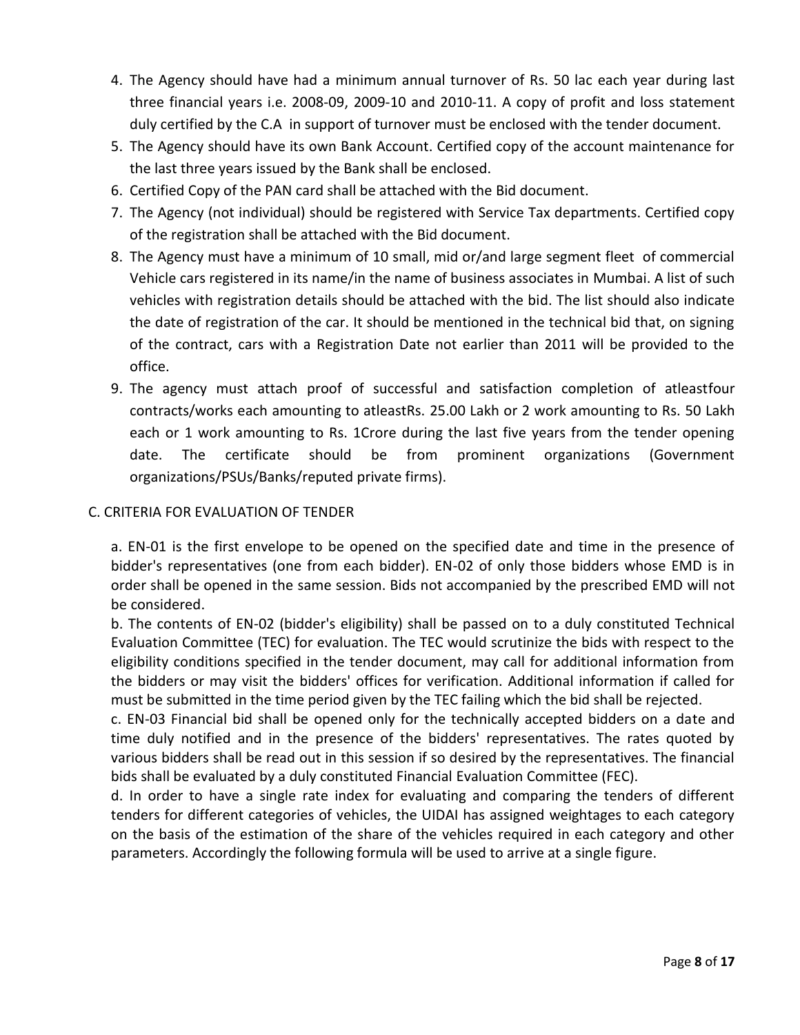- 4. The Agency should have had a minimum annual turnover of Rs. 50 lac each year during last three financial years i.e. 2008-09, 2009-10 and 2010-11. A copy of profit and loss statement duly certified by the C.A in support of turnover must be enclosed with the tender document.
- 5. The Agency should have its own Bank Account. Certified copy of the account maintenance for the last three years issued by the Bank shall be enclosed.
- 6. Certified Copy of the PAN card shall be attached with the Bid document.
- 7. The Agency (not individual) should be registered with Service Tax departments. Certified copy of the registration shall be attached with the Bid document.
- 8. The Agency must have a minimum of 10 small, mid or/and large segment fleet of commercial Vehicle cars registered in its name/in the name of business associates in Mumbai. A list of such vehicles with registration details should be attached with the bid. The list should also indicate the date of registration of the car. It should be mentioned in the technical bid that, on signing of the contract, cars with a Registration Date not earlier than 2011 will be provided to the office.
- 9. The agency must attach proof of successful and satisfaction completion of atleastfour contracts/works each amounting to atleastRs. 25.00 Lakh or 2 work amounting to Rs. 50 Lakh each or 1 work amounting to Rs. 1Crore during the last five years from the tender opening date. The certificate should be from prominent organizations (Government organizations/PSUs/Banks/reputed private firms).

### C. CRITERIA FOR EVALUATION OF TENDER

a. EN-01 is the first envelope to be opened on the specified date and time in the presence of bidder's representatives (one from each bidder). EN-02 of only those bidders whose EMD is in order shall be opened in the same session. Bids not accompanied by the prescribed EMD will not be considered.

b. The contents of EN-02 (bidder's eligibility) shall be passed on to a duly constituted Technical Evaluation Committee (TEC) for evaluation. The TEC would scrutinize the bids with respect to the eligibility conditions specified in the tender document, may call for additional information from the bidders or may visit the bidders' offices for verification. Additional information if called for must be submitted in the time period given by the TEC failing which the bid shall be rejected.

c. EN-03 Financial bid shall be opened only for the technically accepted bidders on a date and time duly notified and in the presence of the bidders' representatives. The rates quoted by various bidders shall be read out in this session if so desired by the representatives. The financial bids shall be evaluated by a duly constituted Financial Evaluation Committee (FEC).

d. In order to have a single rate index for evaluating and comparing the tenders of different tenders for different categories of vehicles, the UIDAI has assigned weightages to each category on the basis of the estimation of the share of the vehicles required in each category and other parameters. Accordingly the following formula will be used to arrive at a single figure.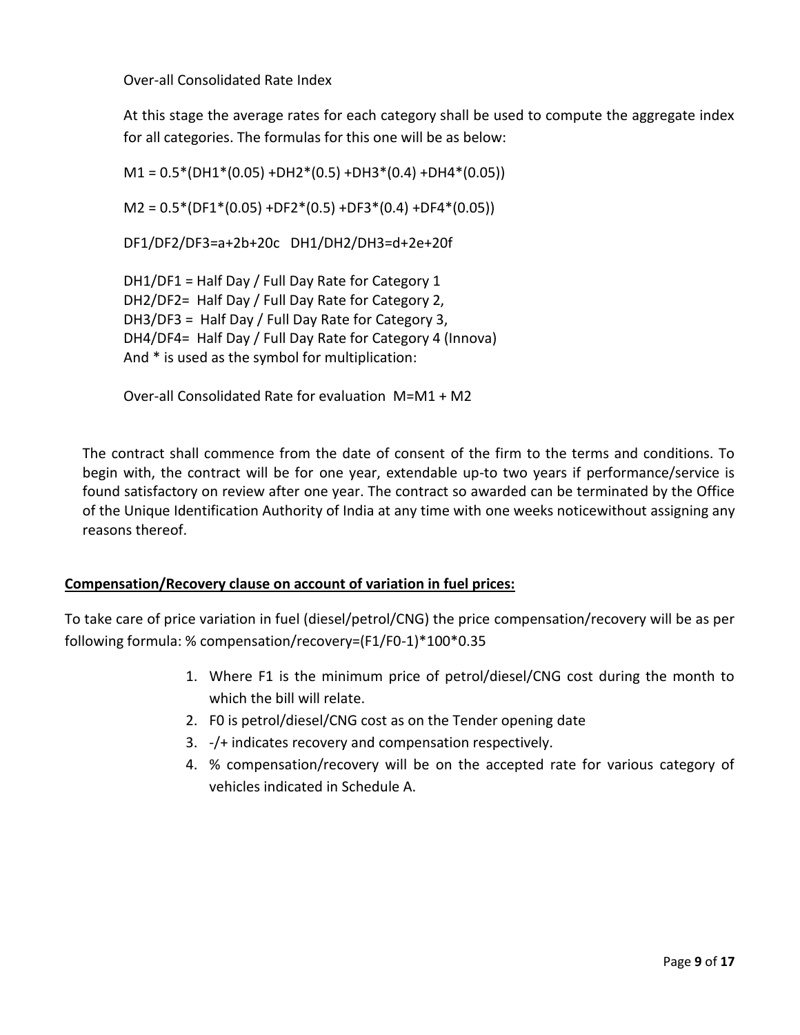Over-all Consolidated Rate Index

At this stage the average rates for each category shall be used to compute the aggregate index for all categories. The formulas for this one will be as below:

 $M1 = 0.5*(DH1*(0.05) + DH2*(0.5) + DH3*(0.4) + DH4*(0.05))$  $M2 = 0.5*(DF1*(0.05) + DF2*(0.5) + DF3*(0.4) + DF4*(0.05))$ DF1/DF2/DF3=a+2b+20c DH1/DH2/DH3=d+2e+20f DH1/DF1 = Half Day / Full Day Rate for Category 1 DH2/DF2= Half Day / Full Day Rate for Category 2, DH3/DF3 = Half Day / Full Day Rate for Category 3, DH4/DF4= Half Day / Full Day Rate for Category 4 (Innova) And \* is used as the symbol for multiplication:

Over-all Consolidated Rate for evaluation M=M1 + M2

The contract shall commence from the date of consent of the firm to the terms and conditions. To begin with, the contract will be for one year, extendable up-to two years if performance/service is found satisfactory on review after one year. The contract so awarded can be terminated by the Office of the Unique Identification Authority of India at any time with one weeks noticewithout assigning any reasons thereof.

### **Compensation/Recovery clause on account of variation in fuel prices:**

To take care of price variation in fuel (diesel/petrol/CNG) the price compensation/recovery will be as per following formula: % compensation/recovery=(F1/F0-1)\*100\*0.35

- 1. Where F1 is the minimum price of petrol/diesel/CNG cost during the month to which the bill will relate.
- 2. F0 is petrol/diesel/CNG cost as on the Tender opening date
- 3. -/+ indicates recovery and compensation respectively.
- 4. % compensation/recovery will be on the accepted rate for various category of vehicles indicated in Schedule A.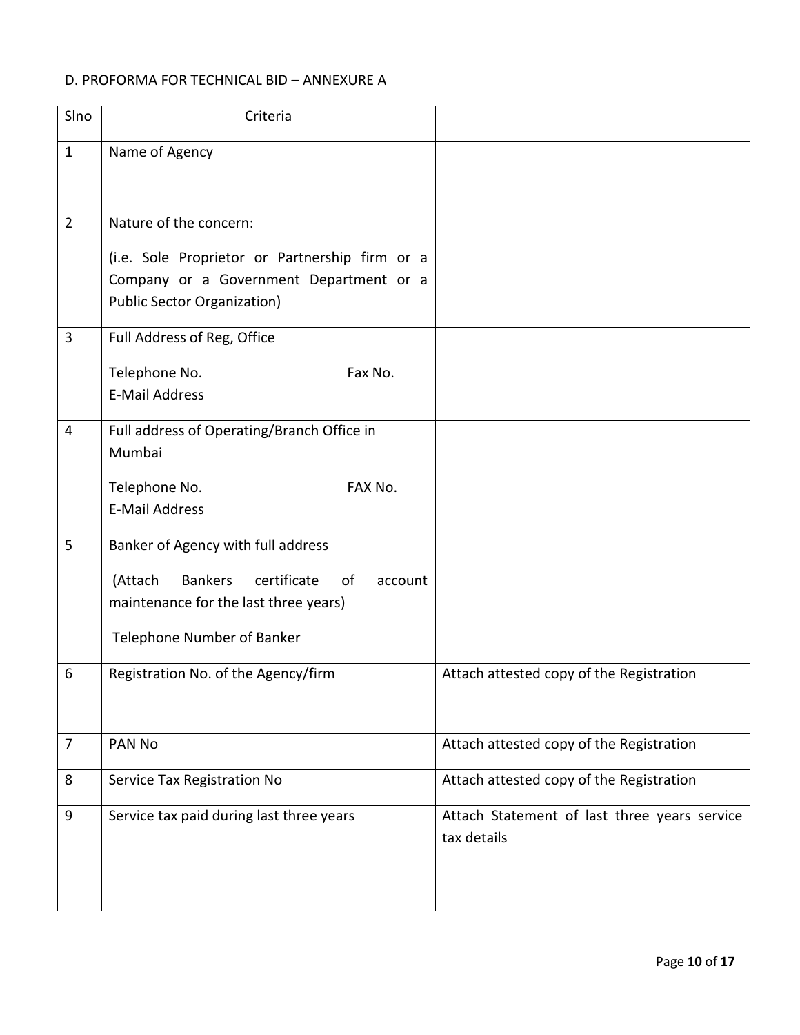# D. PROFORMA FOR TECHNICAL BID – ANNEXURE A

| SIno           | Criteria                                                                                                                                                               |                                                             |
|----------------|------------------------------------------------------------------------------------------------------------------------------------------------------------------------|-------------------------------------------------------------|
| $\mathbf{1}$   | Name of Agency                                                                                                                                                         |                                                             |
| $\overline{2}$ | Nature of the concern:                                                                                                                                                 |                                                             |
|                | (i.e. Sole Proprietor or Partnership firm or a<br>Company or a Government Department or a<br><b>Public Sector Organization)</b>                                        |                                                             |
| 3              | Full Address of Reg, Office                                                                                                                                            |                                                             |
|                | Telephone No.<br>Fax No.<br><b>E-Mail Address</b>                                                                                                                      |                                                             |
| 4              | Full address of Operating/Branch Office in<br>Mumbai                                                                                                                   |                                                             |
|                | Telephone No.<br>FAX No.<br><b>E-Mail Address</b>                                                                                                                      |                                                             |
| 5              | Banker of Agency with full address<br>(Attach<br><b>Bankers</b><br>certificate<br>of<br>account<br>maintenance for the last three years)<br>Telephone Number of Banker |                                                             |
| 6              | Registration No. of the Agency/firm                                                                                                                                    | Attach attested copy of the Registration                    |
| $\overline{7}$ | PAN No                                                                                                                                                                 | Attach attested copy of the Registration                    |
| 8              | Service Tax Registration No                                                                                                                                            | Attach attested copy of the Registration                    |
| 9              | Service tax paid during last three years                                                                                                                               | Attach Statement of last three years service<br>tax details |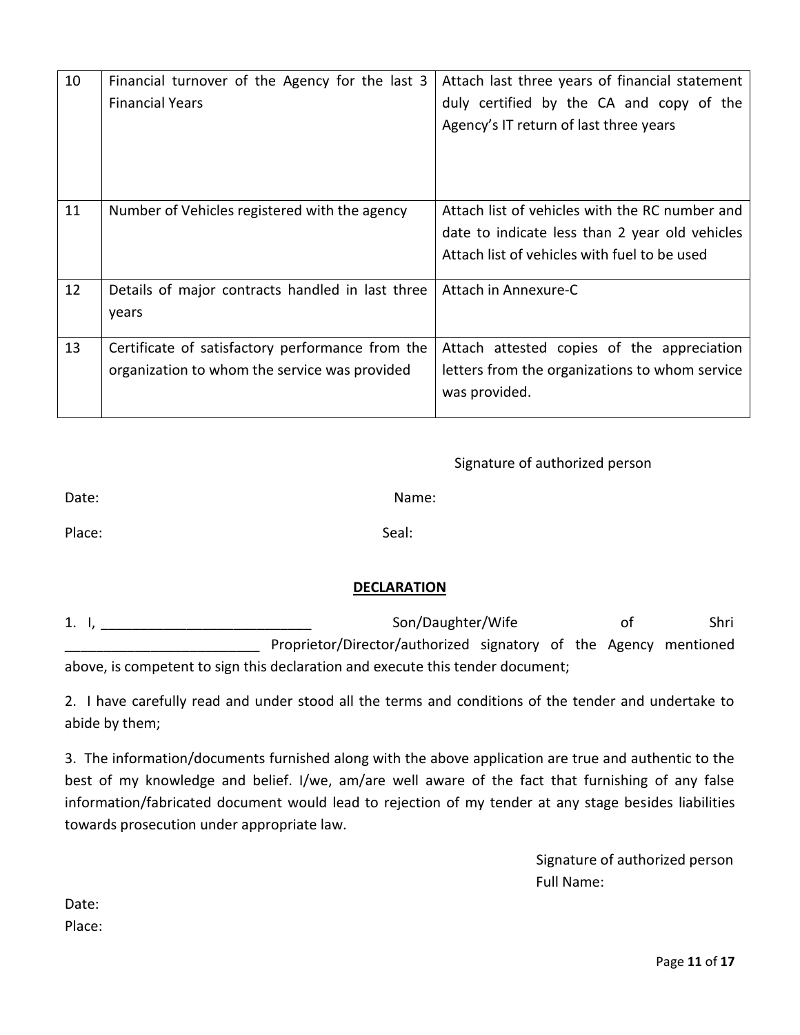| 10 | Financial turnover of the Agency for the last 3<br><b>Financial Years</b>                         | Attach last three years of financial statement<br>duly certified by the CA and copy of the<br>Agency's IT return of last three years             |
|----|---------------------------------------------------------------------------------------------------|--------------------------------------------------------------------------------------------------------------------------------------------------|
|    |                                                                                                   |                                                                                                                                                  |
| 11 | Number of Vehicles registered with the agency                                                     | Attach list of vehicles with the RC number and<br>date to indicate less than 2 year old vehicles<br>Attach list of vehicles with fuel to be used |
| 12 | Details of major contracts handled in last three<br>years                                         | Attach in Annexure-C                                                                                                                             |
| 13 | Certificate of satisfactory performance from the<br>organization to whom the service was provided | Attach attested copies of the appreciation<br>letters from the organizations to whom service<br>was provided.                                    |

### Signature of authorized person

| Date:  | Name: |
|--------|-------|
| Place: | Seal: |

### **DECLARATION**

| 1. l, | Son/Daughter/Wife                                                              |  |  |  | οt | Shri |
|-------|--------------------------------------------------------------------------------|--|--|--|----|------|
|       | Proprietor/Director/authorized signatory of the Agency mentioned               |  |  |  |    |      |
|       | above, is competent to sign this declaration and execute this tender document; |  |  |  |    |      |

2. I have carefully read and under stood all the terms and conditions of the tender and undertake to abide by them;

3. The information/documents furnished along with the above application are true and authentic to the best of my knowledge and belief. I/we, am/are well aware of the fact that furnishing of any false information/fabricated document would lead to rejection of my tender at any stage besides liabilities towards prosecution under appropriate law.

> Signature of authorized person Full Name:

Date: Place: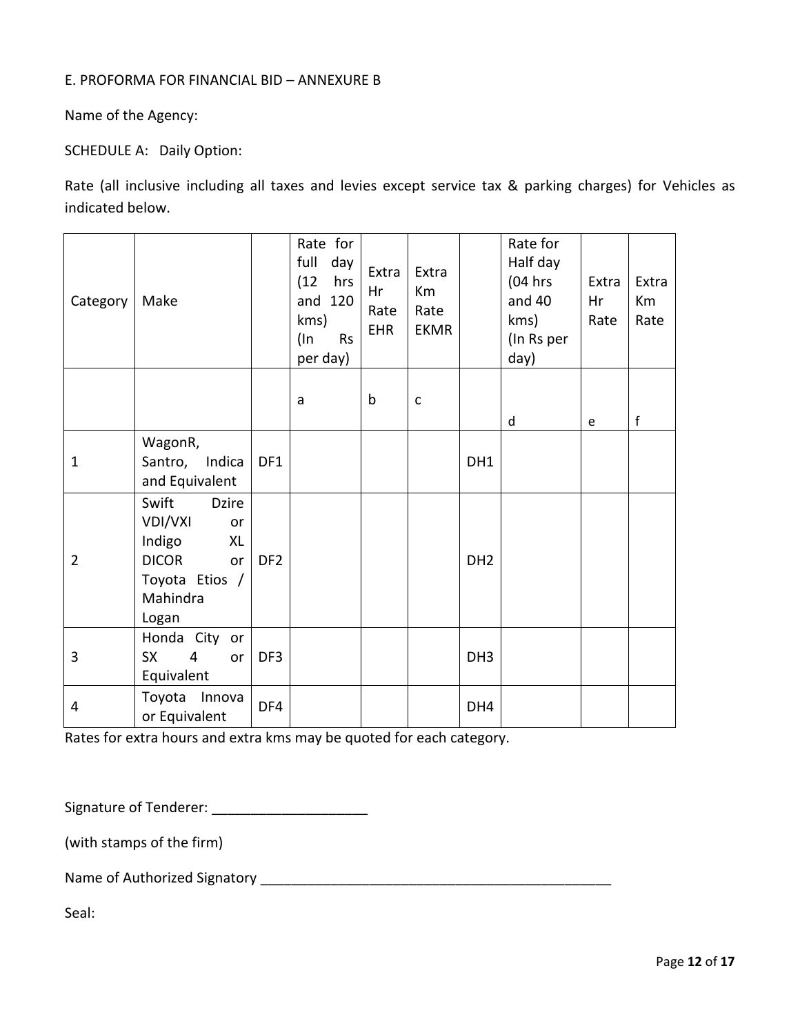### E. PROFORMA FOR FINANCIAL BID – ANNEXURE B

Name of the Agency:

SCHEDULE A: Daily Option:

Rate (all inclusive including all taxes and levies except service tax & parking charges) for Vehicles as indicated below.

| Category       | Make                                                                                                                |                 | Rate for<br>full<br>day<br>(12)<br>hrs<br>and 120<br>kms)<br>(In<br><b>Rs</b><br>per day) | Extra<br>Hr<br>Rate<br><b>EHR</b> | Extra<br>Km<br>Rate<br><b>EKMR</b> |                 | Rate for<br>Half day<br>$(04$ hrs<br>and 40<br>kms)<br>(In Rs per<br>day) | Extra<br>Hr<br>Rate | Extra<br>Km<br>Rate |
|----------------|---------------------------------------------------------------------------------------------------------------------|-----------------|-------------------------------------------------------------------------------------------|-----------------------------------|------------------------------------|-----------------|---------------------------------------------------------------------------|---------------------|---------------------|
|                |                                                                                                                     |                 | a                                                                                         | $\mathsf b$                       | $\mathsf C$                        |                 | d                                                                         | e                   | $\mathsf f$         |
| $\mathbf{1}$   | WagonR,<br>Santro, Indica<br>and Equivalent                                                                         | DF1             |                                                                                           |                                   |                                    | DH1             |                                                                           |                     |                     |
| $\overline{2}$ | Swift<br><b>Dzire</b><br>VDI/VXI<br>or<br>Indigo<br>XL<br><b>DICOR</b><br>or<br>Toyota Etios /<br>Mahindra<br>Logan | DF <sub>2</sub> |                                                                                           |                                   |                                    | DH <sub>2</sub> |                                                                           |                     |                     |
| 3              | Honda City or<br><b>SX</b><br>4<br>or<br>Equivalent                                                                 | DF3             |                                                                                           |                                   |                                    | DH <sub>3</sub> |                                                                           |                     |                     |
| 4              | Toyota Innova<br>or Equivalent                                                                                      | DF4             |                                                                                           |                                   |                                    | DH4             |                                                                           |                     |                     |

Rates for extra hours and extra kms may be quoted for each category.

Signature of Tenderer: \_\_\_\_\_\_\_\_\_\_\_\_\_\_\_\_\_\_\_\_

(with stamps of the firm)

Name of Authorized Signatory \_\_\_\_\_\_\_\_\_\_\_\_\_\_\_\_\_\_\_\_\_\_\_\_\_\_\_\_\_\_\_\_\_\_\_\_\_\_\_\_\_\_\_\_\_

Seal: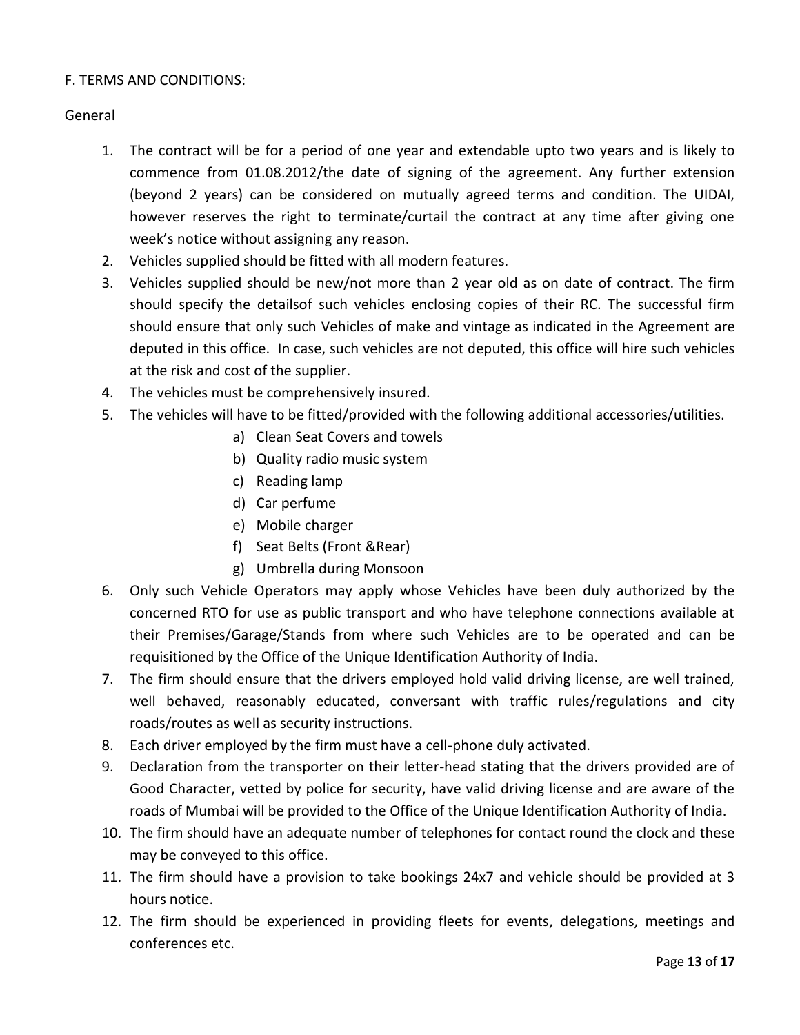### F. TERMS AND CONDITIONS:

### General

- 1. The contract will be for a period of one year and extendable upto two years and is likely to commence from 01.08.2012/the date of signing of the agreement. Any further extension (beyond 2 years) can be considered on mutually agreed terms and condition. The UIDAI, however reserves the right to terminate/curtail the contract at any time after giving one week's notice without assigning any reason.
- 2. Vehicles supplied should be fitted with all modern features.
- 3. Vehicles supplied should be new/not more than 2 year old as on date of contract. The firm should specify the detailsof such vehicles enclosing copies of their RC. The successful firm should ensure that only such Vehicles of make and vintage as indicated in the Agreement are deputed in this office. In case, such vehicles are not deputed, this office will hire such vehicles at the risk and cost of the supplier.
- 4. The vehicles must be comprehensively insured.
- 5. The vehicles will have to be fitted/provided with the following additional accessories/utilities.
	- a) Clean Seat Covers and towels
	- b) Quality radio music system
	- c) Reading lamp
	- d) Car perfume
	- e) Mobile charger
	- f) Seat Belts (Front &Rear)
	- g) Umbrella during Monsoon
- 6. Only such Vehicle Operators may apply whose Vehicles have been duly authorized by the concerned RTO for use as public transport and who have telephone connections available at their Premises/Garage/Stands from where such Vehicles are to be operated and can be requisitioned by the Office of the Unique Identification Authority of India.
- 7. The firm should ensure that the drivers employed hold valid driving license, are well trained, well behaved, reasonably educated, conversant with traffic rules/regulations and city roads/routes as well as security instructions.
- 8. Each driver employed by the firm must have a cell-phone duly activated.
- 9. Declaration from the transporter on their letter-head stating that the drivers provided are of Good Character, vetted by police for security, have valid driving license and are aware of the roads of Mumbai will be provided to the Office of the Unique Identification Authority of India.
- 10. The firm should have an adequate number of telephones for contact round the clock and these may be conveyed to this office.
- 11. The firm should have a provision to take bookings 24x7 and vehicle should be provided at 3 hours notice.
- 12. The firm should be experienced in providing fleets for events, delegations, meetings and conferences etc.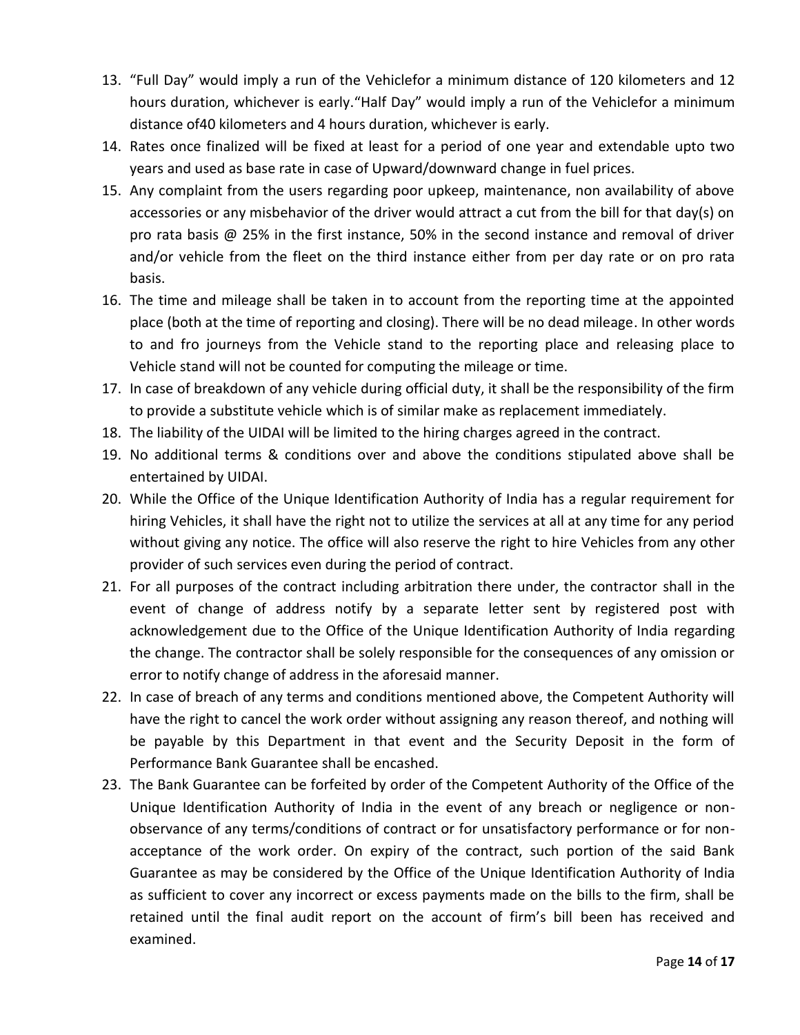- 13. "Full Day" would imply a run of the Vehiclefor a minimum distance of 120 kilometers and 12 hours duration, whichever is early."Half Day" would imply a run of the Vehiclefor a minimum distance of40 kilometers and 4 hours duration, whichever is early.
- 14. Rates once finalized will be fixed at least for a period of one year and extendable upto two years and used as base rate in case of Upward/downward change in fuel prices.
- 15. Any complaint from the users regarding poor upkeep, maintenance, non availability of above accessories or any misbehavior of the driver would attract a cut from the bill for that day(s) on pro rata basis @ 25% in the first instance, 50% in the second instance and removal of driver and/or vehicle from the fleet on the third instance either from per day rate or on pro rata basis.
- 16. The time and mileage shall be taken in to account from the reporting time at the appointed place (both at the time of reporting and closing). There will be no dead mileage. In other words to and fro journeys from the Vehicle stand to the reporting place and releasing place to Vehicle stand will not be counted for computing the mileage or time.
- 17. In case of breakdown of any vehicle during official duty, it shall be the responsibility of the firm to provide a substitute vehicle which is of similar make as replacement immediately.
- 18. The liability of the UIDAI will be limited to the hiring charges agreed in the contract.
- 19. No additional terms & conditions over and above the conditions stipulated above shall be entertained by UIDAI.
- 20. While the Office of the Unique Identification Authority of India has a regular requirement for hiring Vehicles, it shall have the right not to utilize the services at all at any time for any period without giving any notice. The office will also reserve the right to hire Vehicles from any other provider of such services even during the period of contract.
- 21. For all purposes of the contract including arbitration there under, the contractor shall in the event of change of address notify by a separate letter sent by registered post with acknowledgement due to the Office of the Unique Identification Authority of India regarding the change. The contractor shall be solely responsible for the consequences of any omission or error to notify change of address in the aforesaid manner.
- 22. In case of breach of any terms and conditions mentioned above, the Competent Authority will have the right to cancel the work order without assigning any reason thereof, and nothing will be payable by this Department in that event and the Security Deposit in the form of Performance Bank Guarantee shall be encashed.
- 23. The Bank Guarantee can be forfeited by order of the Competent Authority of the Office of the Unique Identification Authority of India in the event of any breach or negligence or nonobservance of any terms/conditions of contract or for unsatisfactory performance or for nonacceptance of the work order. On expiry of the contract, such portion of the said Bank Guarantee as may be considered by the Office of the Unique Identification Authority of India as sufficient to cover any incorrect or excess payments made on the bills to the firm, shall be retained until the final audit report on the account of firm's bill been has received and examined.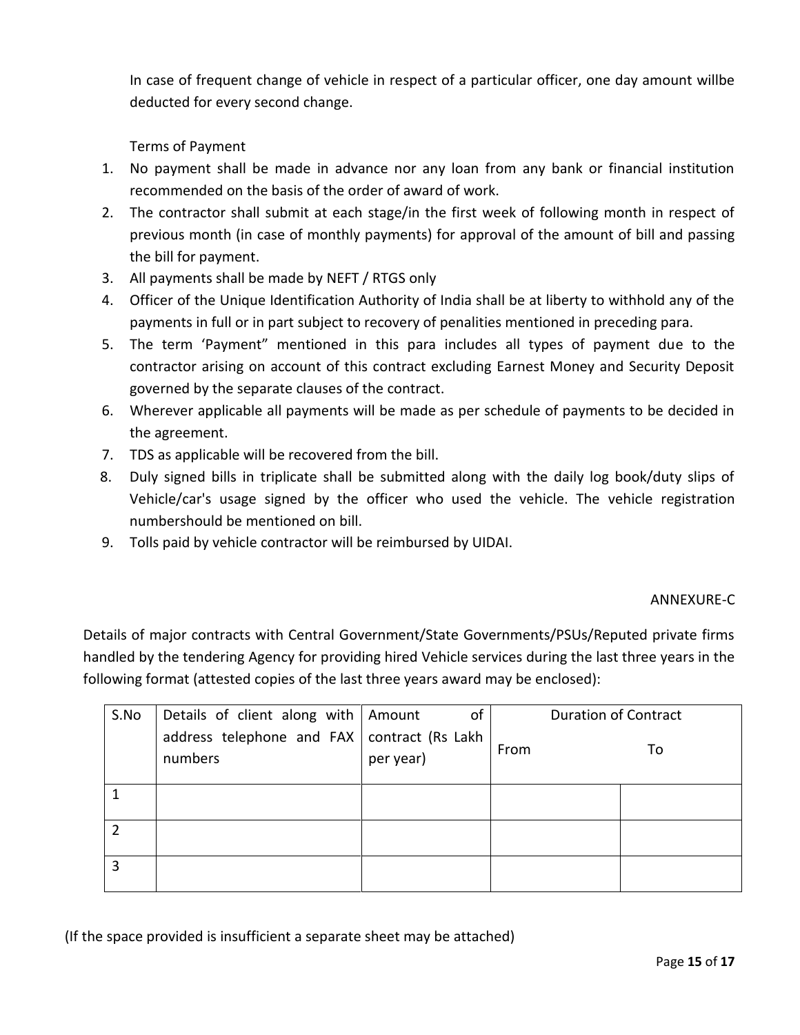In case of frequent change of vehicle in respect of a particular officer, one day amount willbe deducted for every second change.

Terms of Payment

- 1. No payment shall be made in advance nor any loan from any bank or financial institution recommended on the basis of the order of award of work.
- 2. The contractor shall submit at each stage/in the first week of following month in respect of previous month (in case of monthly payments) for approval of the amount of bill and passing the bill for payment.
- 3. All payments shall be made by NEFT / RTGS only
- 4. Officer of the Unique Identification Authority of India shall be at liberty to withhold any of the payments in full or in part subject to recovery of penalities mentioned in preceding para.
- 5. The term 'Payment" mentioned in this para includes all types of payment due to the contractor arising on account of this contract excluding Earnest Money and Security Deposit governed by the separate clauses of the contract.
- 6. Wherever applicable all payments will be made as per schedule of payments to be decided in the agreement.
- 7. TDS as applicable will be recovered from the bill.
- 8. Duly signed bills in triplicate shall be submitted along with the daily log book/duty slips of Vehicle/car's usage signed by the officer who used the vehicle. The vehicle registration numbershould be mentioned on bill.
- 9. Tolls paid by vehicle contractor will be reimbursed by UIDAI.

### ANNEXURE-C

Details of major contracts with Central Government/State Governments/PSUs/Reputed private firms handled by the tendering Agency for providing hired Vehicle services during the last three years in the following format (attested copies of the last three years award may be enclosed):

| S.No | Details of client along with   Amount                    | of        | <b>Duration of Contract</b> |    |
|------|----------------------------------------------------------|-----------|-----------------------------|----|
|      | address telephone and $FAX$ contract (Rs Lakh<br>numbers | per year) | From                        | To |
|      |                                                          |           |                             |    |
|      |                                                          |           |                             |    |
| ζ    |                                                          |           |                             |    |

(If the space provided is insufficient a separate sheet may be attached)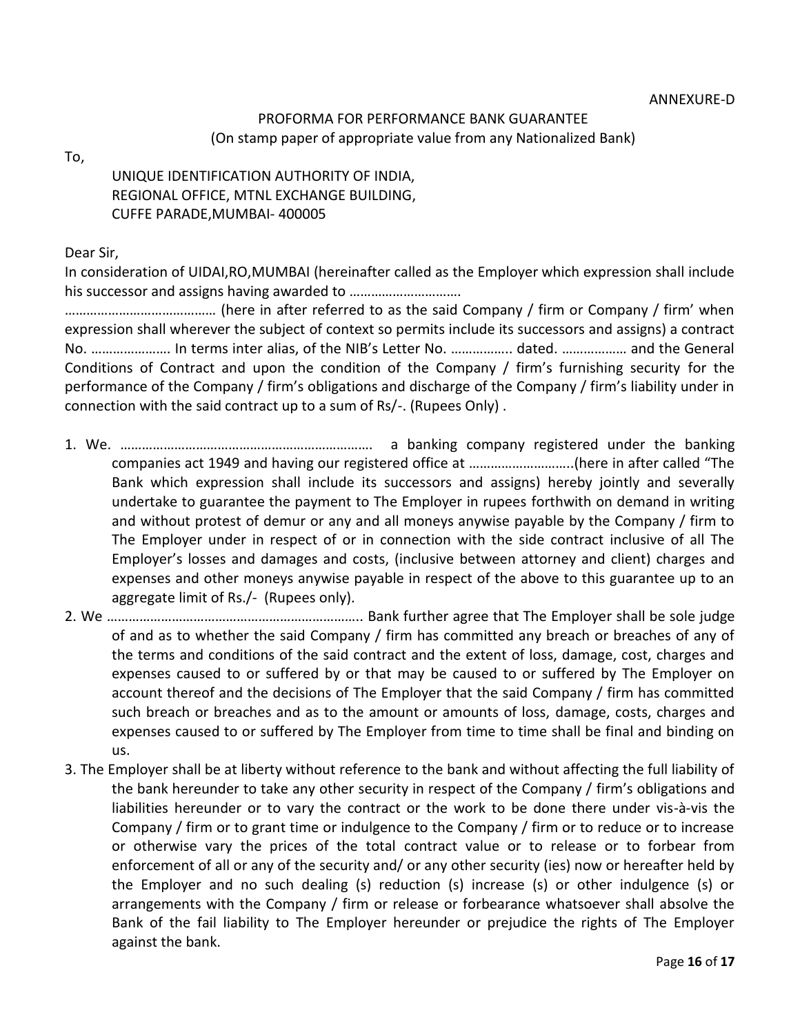### PROFORMA FOR PERFORMANCE BANK GUARANTEE (On stamp paper of appropriate value from any Nationalized Bank)

To,

# UNIQUE IDENTIFICATION AUTHORITY OF INDIA, REGIONAL OFFICE, MTNL EXCHANGE BUILDING, CUFFE PARADE,MUMBAI- 400005

Dear Sir,

In consideration of UIDAI,RO,MUMBAI (hereinafter called as the Employer which expression shall include his successor and assigns having awarded to ………………………….

…………………………………… (here in after referred to as the said Company / firm or Company / firm' when expression shall wherever the subject of context so permits include its successors and assigns) a contract No. …………………. In terms inter alias, of the NIB's Letter No. …………….. dated. ……………… and the General Conditions of Contract and upon the condition of the Company / firm's furnishing security for the performance of the Company / firm's obligations and discharge of the Company / firm's liability under in connection with the said contract up to a sum of Rs/-. (Rupees Only) .

- 1. We. ……………………………………………………………. a banking company registered under the banking companies act 1949 and having our registered office at ………………………..(here in after called "The Bank which expression shall include its successors and assigns) hereby jointly and severally undertake to guarantee the payment to The Employer in rupees forthwith on demand in writing and without protest of demur or any and all moneys anywise payable by the Company / firm to The Employer under in respect of or in connection with the side contract inclusive of all The Employer's losses and damages and costs, (inclusive between attorney and client) charges and expenses and other moneys anywise payable in respect of the above to this guarantee up to an aggregate limit of Rs./- (Rupees only).
- 2. We …………………………………………………………….. Bank further agree that The Employer shall be sole judge of and as to whether the said Company / firm has committed any breach or breaches of any of the terms and conditions of the said contract and the extent of loss, damage, cost, charges and expenses caused to or suffered by or that may be caused to or suffered by The Employer on account thereof and the decisions of The Employer that the said Company / firm has committed such breach or breaches and as to the amount or amounts of loss, damage, costs, charges and expenses caused to or suffered by The Employer from time to time shall be final and binding on us.
- 3. The Employer shall be at liberty without reference to the bank and without affecting the full liability of the bank hereunder to take any other security in respect of the Company / firm's obligations and liabilities hereunder or to vary the contract or the work to be done there under vis-à-vis the Company / firm or to grant time or indulgence to the Company / firm or to reduce or to increase or otherwise vary the prices of the total contract value or to release or to forbear from enforcement of all or any of the security and/ or any other security (ies) now or hereafter held by the Employer and no such dealing (s) reduction (s) increase (s) or other indulgence (s) or arrangements with the Company / firm or release or forbearance whatsoever shall absolve the Bank of the fail liability to The Employer hereunder or prejudice the rights of The Employer against the bank.